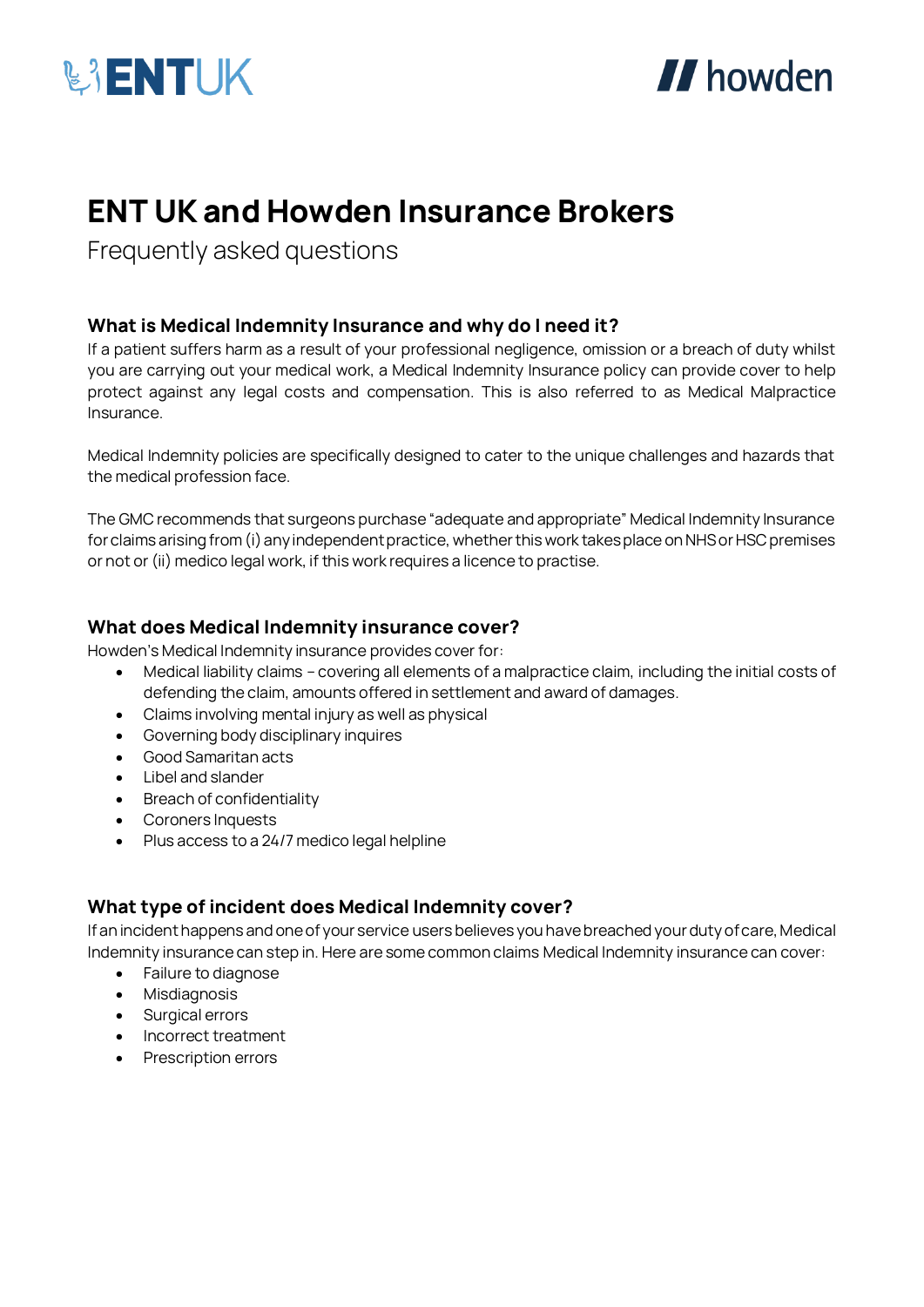



# **ENT UK and Howden Insurance Brokers**

Frequently asked questions

## **What is Medical Indemnity Insurance and why do I need it?**

If a patient suffers harm as a result of your professional negligence, omission or a breach of duty whilst you are carrying out your medical work, a Medical Indemnity Insurance policy can provide cover to help protect against any legal costs and compensation. This is also referred to as Medical Malpractice Insurance.

Medical Indemnity policies are specifically designed to cater to the unique challenges and hazards that the medical profession face.

The GMC recommends that surgeons purchase "adequate and appropriate" Medical Indemnity Insurance for claims arising from (i) any independent practice, whether this work takes place on NHS or HSC premises or not or (ii) medico legal work, if this work requires a licence to practise.

## **What does Medical Indemnity insurance cover?**

Howden's Medical Indemnity insurance provides cover for:

- Medical liability claims covering all elements of a malpractice claim, including the initial costs of defending the claim, amounts offered in settlement and award of damages.
- Claims involving mental injury as well as physical
- Governing body disciplinary inquires
- Good Samaritan acts
- Libel and slander
- Breach of confidentiality
- Coroners Inquests
- Plus access to a 24/7 medico legal helpline

## **What type of incident does Medical Indemnity cover?**

If an incident happens and one of your service users believes you have breached your duty of care, Medical Indemnity insurance can step in. Here are some common claims Medical Indemnity insurance can cover:

- Failure to diagnose
- Misdiagnosis
- Surgical errors
- Incorrect treatment
- Prescription errors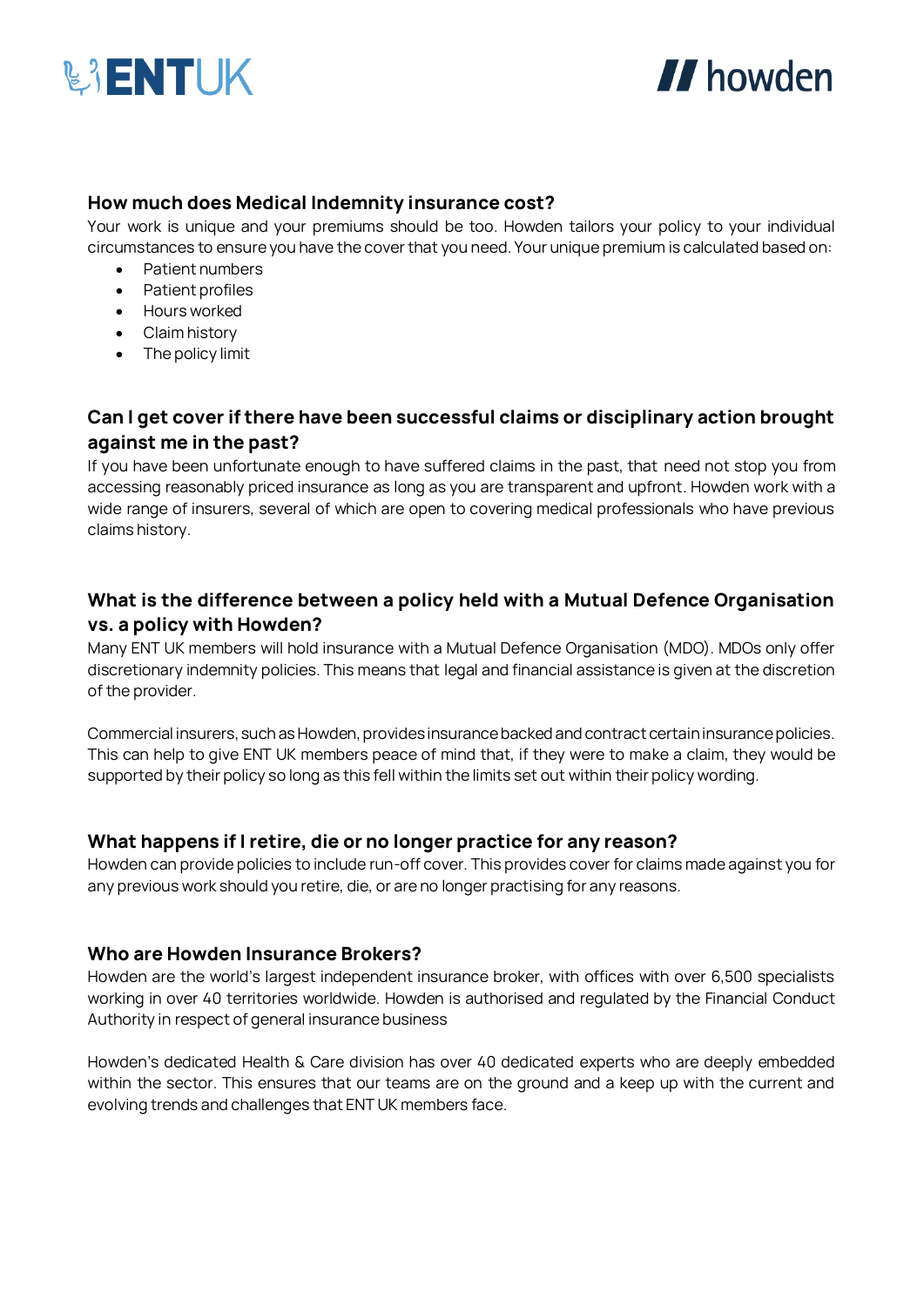



## **How much does Medical Indemnity insurance cost?**

Your work is unique and your premiums should be too. Howden tailors your policy to your individual circumstances to ensure you have the cover that you need. Your unique premium is calculated based on:

- Patient numbers
- Patient profiles
- Hours worked
- Claim history
- The policy limit

## **Can I get cover if there have been successful claims or disciplinary action brought against me in the past?**

If you have been unfortunate enough to have suffered claims in the past, that need not stop you from accessing reasonably priced insurance as long as you are transparent and upfront. Howden work with a wide range of insurers, several of which are open to covering medical professionals who have previous claims history.

## **What is the difference between a policy held with a Mutual Defence Organisation vs. a policy with Howden?**

Many ENT UK members will hold insurance with a Mutual Defence Organisation (MDO). MDOs only offer discretionary indemnity policies. This means that legal and financial assistance is given at the discretion of the provider.

Commercial insurers, such as Howden, provides insurance backed and contract certain insurance policies. This can help to give ENT UK members peace of mind that, if they were to make a claim, they would be supported by their policy so long as this fell within the limits set out within their policy wording.

## **What happens if I retire, die or no longer practice for any reason?**

Howden can provide policies to include run-off cover. This provides cover for claims made against you for any previous work should you retire, die, or are no longer practising for any reasons.

#### **Who are Howden Insurance Brokers?**

Howden are the world's largest independent insurance broker, with offices with over 6,500 specialists working in over 40 territories worldwide. Howden is authorised and regulated by the Financial Conduct Authority in respect of general insurance business

Howden's dedicated Health & Care division has over 40 dedicated experts who are deeply embedded within the sector. This ensures that our teams are on the ground and a keep up with the current and evolving trends and challenges that ENT UK members face.